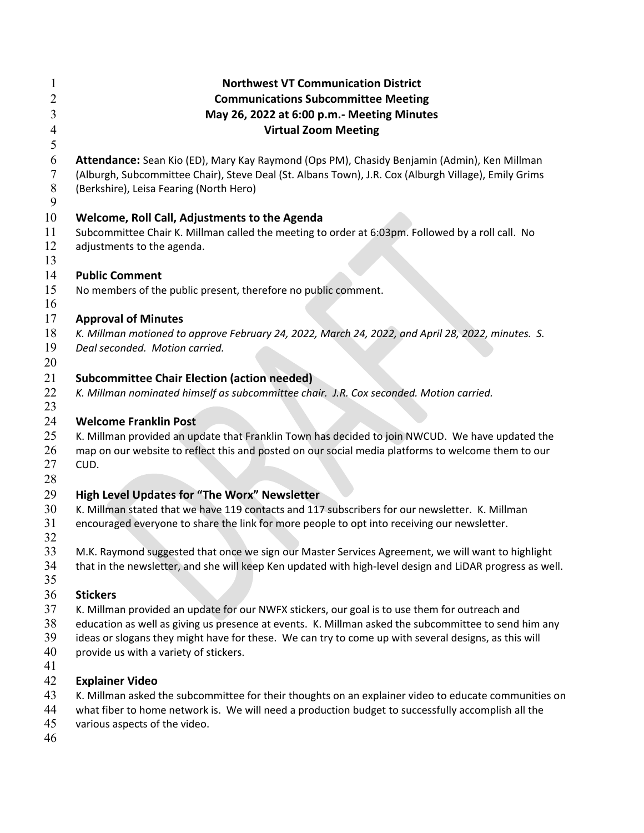| $\mathbf{I}$<br>2<br>3<br>$\overline{4}$ | <b>Northwest VT Communication District</b><br><b>Communications Subcommittee Meeting</b><br>May 26, 2022 at 6:00 p.m.- Meeting Minutes<br><b>Virtual Zoom Meeting</b> |
|------------------------------------------|-----------------------------------------------------------------------------------------------------------------------------------------------------------------------|
| 5                                        |                                                                                                                                                                       |
| 6                                        | Attendance: Sean Kio (ED), Mary Kay Raymond (Ops PM), Chasidy Benjamin (Admin), Ken Millman                                                                           |
| $\overline{7}$                           | (Alburgh, Subcommittee Chair), Steve Deal (St. Albans Town), J.R. Cox (Alburgh Village), Emily Grims                                                                  |
| $8\,$                                    | (Berkshire), Leisa Fearing (North Hero)                                                                                                                               |
| 9                                        |                                                                                                                                                                       |
| 10                                       | Welcome, Roll Call, Adjustments to the Agenda                                                                                                                         |
| 11                                       | Subcommittee Chair K. Millman called the meeting to order at 6:03pm. Followed by a roll call. No                                                                      |
| 12                                       | adjustments to the agenda.                                                                                                                                            |
| 13                                       |                                                                                                                                                                       |
| 14                                       | <b>Public Comment</b>                                                                                                                                                 |
| 15                                       | No members of the public present, therefore no public comment.                                                                                                        |
| 16                                       |                                                                                                                                                                       |
| 17                                       | <b>Approval of Minutes</b>                                                                                                                                            |
| 18                                       | K. Millman motioned to approve February 24, 2022, March 24, 2022, and April 28, 2022, minutes. S.                                                                     |
| 19                                       | Deal seconded. Motion carried.                                                                                                                                        |
| 20                                       |                                                                                                                                                                       |
| 21                                       | <b>Subcommittee Chair Election (action needed)</b>                                                                                                                    |
| 22                                       | K. Millman nominated himself as subcommittee chair. J.R. Cox seconded. Motion carried.                                                                                |
| 23                                       |                                                                                                                                                                       |
| 24                                       | <b>Welcome Franklin Post</b>                                                                                                                                          |
| 25                                       | K. Millman provided an update that Franklin Town has decided to join NWCUD. We have updated the                                                                       |
| 26                                       | map on our website to reflect this and posted on our social media platforms to welcome them to our                                                                    |
| 27                                       | CUD.                                                                                                                                                                  |
| 28                                       |                                                                                                                                                                       |
| 29                                       | High Level Updates for "The Worx" Newsletter                                                                                                                          |
| 30                                       | K. Millman stated that we have 119 contacts and 117 subscribers for our newsletter. K. Millman                                                                        |
| 31                                       | encouraged everyone to share the link for more people to opt into receiving our newsletter.                                                                           |
| 32                                       |                                                                                                                                                                       |
| 33                                       | M.K. Raymond suggested that once we sign our Master Services Agreement, we will want to highlight                                                                     |
| 34                                       | that in the newsletter, and she will keep Ken updated with high-level design and LiDAR progress as well.                                                              |
| 35                                       |                                                                                                                                                                       |
| 36                                       | <b>Stickers</b>                                                                                                                                                       |
| 37                                       | K. Millman provided an update for our NWFX stickers, our goal is to use them for outreach and                                                                         |
| 38                                       | education as well as giving us presence at events. K. Millman asked the subcommittee to send him any                                                                  |
| 39                                       | ideas or slogans they might have for these. We can try to come up with several designs, as this will                                                                  |
| 40                                       | provide us with a variety of stickers.                                                                                                                                |
| 41                                       |                                                                                                                                                                       |
| 42                                       | <b>Explainer Video</b>                                                                                                                                                |
| 43                                       | K. Millman asked the subcommittee for their thoughts on an explainer video to educate communities on                                                                  |
| 44                                       | what fiber to home network is. We will need a production budget to successfully accomplish all the                                                                    |
| 45                                       | various aspects of the video.                                                                                                                                         |
| 46                                       |                                                                                                                                                                       |